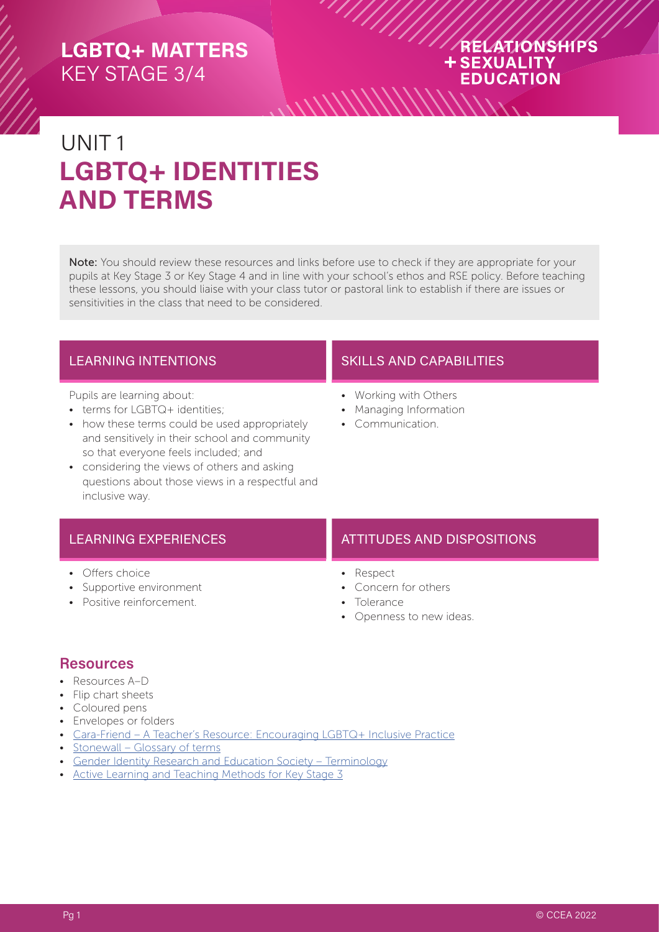#### RELATIONSHIPS **+SEXUALITY EDUCATION** *\\\\\\\\\\\\\\*

# UNIT 1 **LGBTQ+ IDENTITIES AND TERMS**

Note: You should review these resources and links before use to check if they are appropriate for your pupils at Key Stage 3 or Key Stage 4 and in line with your school's ethos and RSE policy. Before teaching these lessons, you should liaise with your class tutor or pastoral link to establish if there are issues or sensitivities in the class that need to be considered.

Pupils are learning about:

- terms for LGBTQ+ identities;
- how these terms could be used appropriately and sensitively in their school and community so that everyone feels included; and
- considering the views of others and asking questions about those views in a respectful and inclusive way.

#### LEARNING INTENTIONS **SKILLS AND CAPABILITIES**

- Working with Others
- Managing Information
- Communication.

- Offers choice
- Supportive environment
- Positive reinforcement.

#### LEARNING EXPERIENCES **ATTITUDES AND DISPOSITIONS**

- Respect
- Concern for others
- Tolerance
- Openness to new ideas.

#### **Resources**

- Resources A–D
- Flip chart sheets
- Coloured pens
- Envelopes or folders
- [Cara-Friend A Teacher's Resource: Encouraging LGBTQ+ Inclusive Practice](https://cara-friend.org.uk/codeless_portfolio/teachers-resource/)
- [Stonewall Glossary of terms](https://www.stonewall.org.uk/help-advice/glossary-terms)
- [Gender Identity Research and Education Society Terminology](https://www.gires.org.uk/resources/terminology/)
- [Active Learning and Teaching Methods for Key Stage 3](https://ccea.org.uk/downloads/docs/ccea-asset/Curriculum/Active%20Learning%20and%20Teaching%20Methods%20for%20Key%20Stage%203.pdf)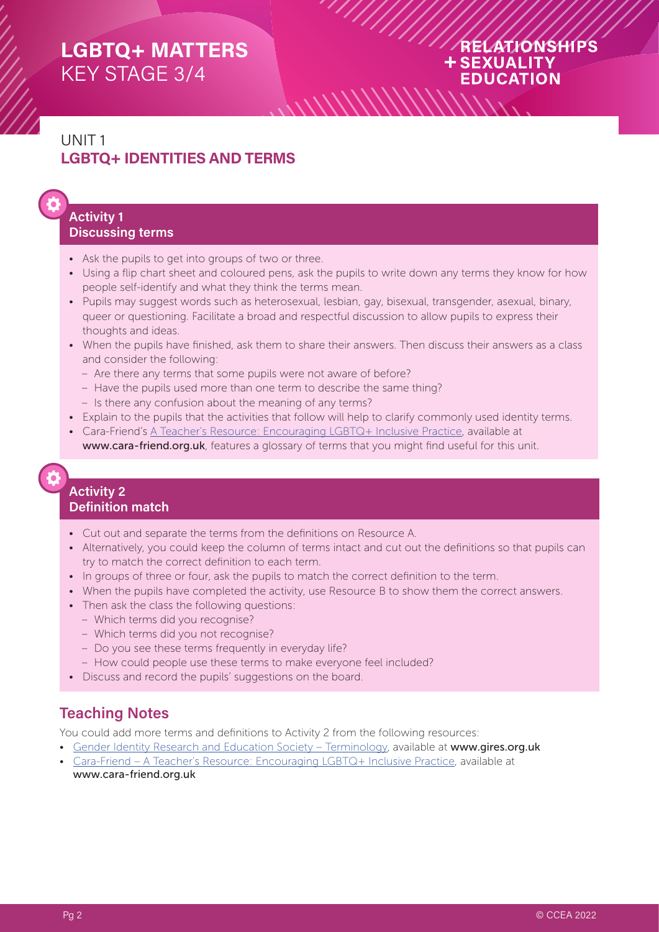#### RELATIONSHIPS **+SEXUALITY EDUCATION**

## UNIT 1 **LGBTQ+ IDENTITIES AND TERMS**

#### **Activity 1 Discussing terms**

- Ask the pupils to get into groups of two or three.
- Using a flip chart sheet and coloured pens, ask the pupils to write down any terms they know for how people self-identify and what they think the terms mean.
- Pupils may suggest words such as heterosexual, lesbian, gay, bisexual, transgender, asexual, binary, queer or questioning. Facilitate a broad and respectful discussion to allow pupils to express their thoughts and ideas.
- When the pupils have finished, ask them to share their answers. Then discuss their answers as a class and consider the following:
	- Are there any terms that some pupils were not aware of before?
	- Have the pupils used more than one term to describe the same thing?
	- Is there any confusion about the meaning of any terms?
- Explain to the pupils that the activities that follow will help to clarify commonly used identity terms.
- Cara-Friend's [A Teacher's Resource: Encouraging LGBTQ+ Inclusive Practice](https://cara-friend.org.uk/codeless_portfolio/teachers-resource/), available at www.cara-friend.org.uk, features a glossary of terms that you might find useful for this unit.

#### **Activity 2 Definition match**

- Cut out and separate the terms from the definitions on Resource A.
- Alternatively, you could keep the column of terms intact and cut out the definitions so that pupils can try to match the correct definition to each term.
- In groups of three or four, ask the pupils to match the correct definition to the term.
- When the pupils have completed the activity, use Resource B to show them the correct answers.
- Then ask the class the following questions:
	- Which terms did you recognise?
	- Which terms did you not recognise?
	- Do you see these terms frequently in everyday life?
	- How could people use these terms to make everyone feel included?
- Discuss and record the pupils' suggestions on the board.

#### **Teaching Notes**

You could add more terms and definitions to Activity 2 from the following resources:

- [Gender Identity Research and Education Society Terminology,](https://www.gires.org.uk/resources/terminology/) available at www.gires.org.uk
- [Cara-Friend A Teacher's Resource: Encouraging LGBTQ+ Inclusive Practice,](https://cara-friend.org.uk/codeless_portfolio/teachers-resource/) available at www.cara-friend.org.uk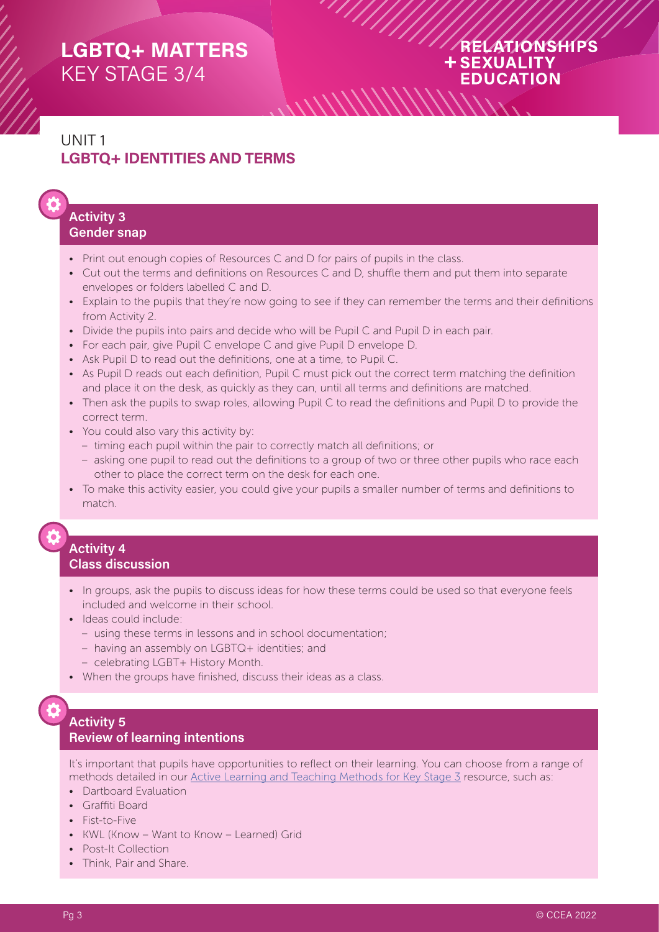#### RELATIONSHIPS **+SEXUALITY EDUCATION**

## UNIT 1 **LGBTQ+ IDENTITIES AND TERMS**

#### **Activity 3 Gender snap**

- Print out enough copies of Resources C and D for pairs of pupils in the class.
- Cut out the terms and definitions on Resources C and D, shuffle them and put them into separate envelopes or folders labelled C and D.
- Explain to the pupils that they're now going to see if they can remember the terms and their definitions from Activity 2.
- Divide the pupils into pairs and decide who will be Pupil C and Pupil D in each pair.
- For each pair, give Pupil C envelope C and give Pupil D envelope D.
- Ask Pupil D to read out the definitions, one at a time, to Pupil C.
- As Pupil D reads out each definition, Pupil C must pick out the correct term matching the definition and place it on the desk, as quickly as they can, until all terms and definitions are matched.
- Then ask the pupils to swap roles, allowing Pupil C to read the definitions and Pupil D to provide the correct term.
- You could also vary this activity by:
	- timing each pupil within the pair to correctly match all definitions; or
	- asking one pupil to read out the definitions to a group of two or three other pupils who race each other to place the correct term on the desk for each one.
- To make this activity easier, you could give your pupils a smaller number of terms and definitions to match.

# **Activity 4**

#### **Class discussion**

- In groups, ask the pupils to discuss ideas for how these terms could be used so that everyone feels included and welcome in their school.
- Ideas could include:
	- using these terms in lessons and in school documentation;
	- having an assembly on LGBTQ+ identities; and
	- celebrating LGBT+ History Month.
- When the groups have finished, discuss their ideas as a class.

#### **Activity 5 Review of learning intentions**

It's important that pupils have opportunities to reflect on their learning. You can choose from a range of methods detailed in our [Active Learning and Teaching Methods for Key Stage 3](https://ccea.org.uk/downloads/docs/ccea-asset/Curriculum/Active%20Learning%20and%20Teaching%20Methods%20for%20Key%20Stage%203.pdf) resource, such as:

- Dartboard Evaluation
- Graffiti Board
- Fist-to-Five
- KWL (Know Want to Know Learned) Grid
- Post-It Collection
- Think, Pair and Share.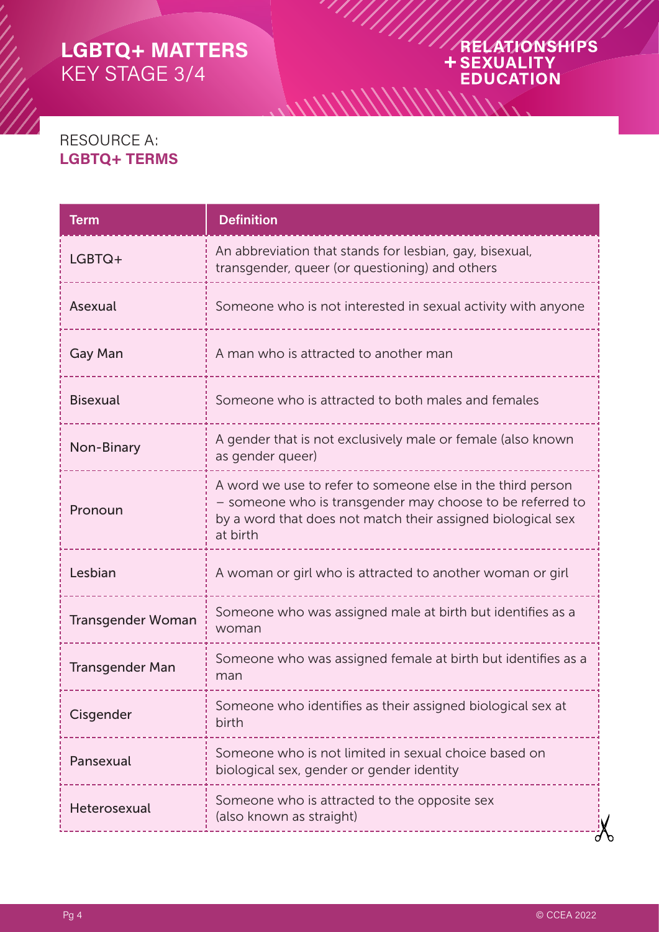# ARELATIONSHIPS

### RESOURCE A: **LGBTQ+ TERMS**

| <b>Term</b>              | <b>Definition</b>                                                                                                                                                                                  |  |
|--------------------------|----------------------------------------------------------------------------------------------------------------------------------------------------------------------------------------------------|--|
| LGBTQ+                   | An abbreviation that stands for lesbian, gay, bisexual,<br>transgender, queer (or questioning) and others                                                                                          |  |
| Asexual                  | Someone who is not interested in sexual activity with anyone                                                                                                                                       |  |
| <b>Gay Man</b>           | A man who is attracted to another man                                                                                                                                                              |  |
| <b>Bisexual</b>          | Someone who is attracted to both males and females                                                                                                                                                 |  |
| Non-Binary               | A gender that is not exclusively male or female (also known<br>as gender queer)                                                                                                                    |  |
| Pronoun                  | A word we use to refer to someone else in the third person<br>- someone who is transgender may choose to be referred to<br>by a word that does not match their assigned biological sex<br>at birth |  |
| Lesbian                  | A woman or girl who is attracted to another woman or girl                                                                                                                                          |  |
| <b>Transgender Woman</b> | Someone who was assigned male at birth but identifies as a<br>woman                                                                                                                                |  |
| <b>Transgender Man</b>   | Someone who was assigned female at birth but identifies as a<br>man                                                                                                                                |  |
| Cisgender                | Someone who identifies as their assigned biological sex at<br>birth                                                                                                                                |  |
| Pansexual                | Someone who is not limited in sexual choice based on<br>biological sex, gender or gender identity                                                                                                  |  |
| Heterosexual             | Someone who is attracted to the opposite sex<br>(also known as straight)                                                                                                                           |  |

 $\frac{1}{2}$ 

 $\Lambda_{\Lambda}$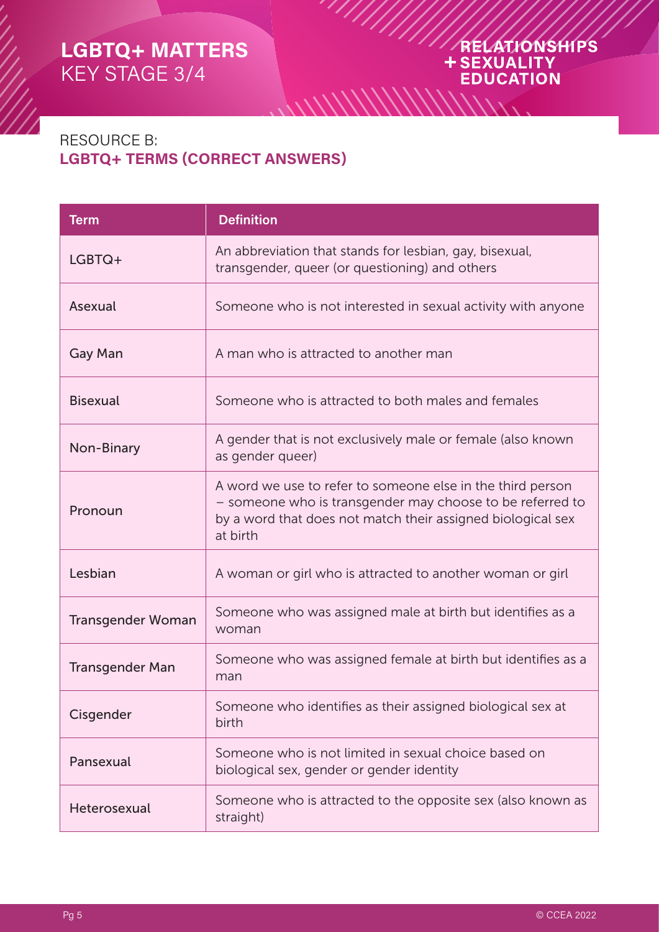# ARELATIONSHIPS **EDUCATION**

## RESOURCE B: **LGBTQ+ TERMS (CORRECT ANSWERS)**

| <b>Term</b>              | <b>Definition</b>                                                                                                                                                                                  |  |
|--------------------------|----------------------------------------------------------------------------------------------------------------------------------------------------------------------------------------------------|--|
| LGBTQ+                   | An abbreviation that stands for lesbian, gay, bisexual,<br>transgender, queer (or questioning) and others                                                                                          |  |
| Asexual                  | Someone who is not interested in sexual activity with anyone                                                                                                                                       |  |
| Gay Man                  | A man who is attracted to another man                                                                                                                                                              |  |
| <b>Bisexual</b>          | Someone who is attracted to both males and females                                                                                                                                                 |  |
| Non-Binary               | A gender that is not exclusively male or female (also known<br>as gender queer)                                                                                                                    |  |
| Pronoun                  | A word we use to refer to someone else in the third person<br>- someone who is transgender may choose to be referred to<br>by a word that does not match their assigned biological sex<br>at birth |  |
| Lesbian                  | A woman or girl who is attracted to another woman or girl                                                                                                                                          |  |
| <b>Transgender Woman</b> | Someone who was assigned male at birth but identifies as a<br>woman                                                                                                                                |  |
| <b>Transgender Man</b>   | Someone who was assigned female at birth but identifies as a<br>man                                                                                                                                |  |
| Cisgender                | Someone who identifies as their assigned biological sex at<br>birth                                                                                                                                |  |
| Pansexual                | Someone who is not limited in sexual choice based on<br>biological sex, gender or gender identity                                                                                                  |  |
| Heterosexual             | Someone who is attracted to the opposite sex (also known as<br>straight)                                                                                                                           |  |

 $\frac{1}{2}$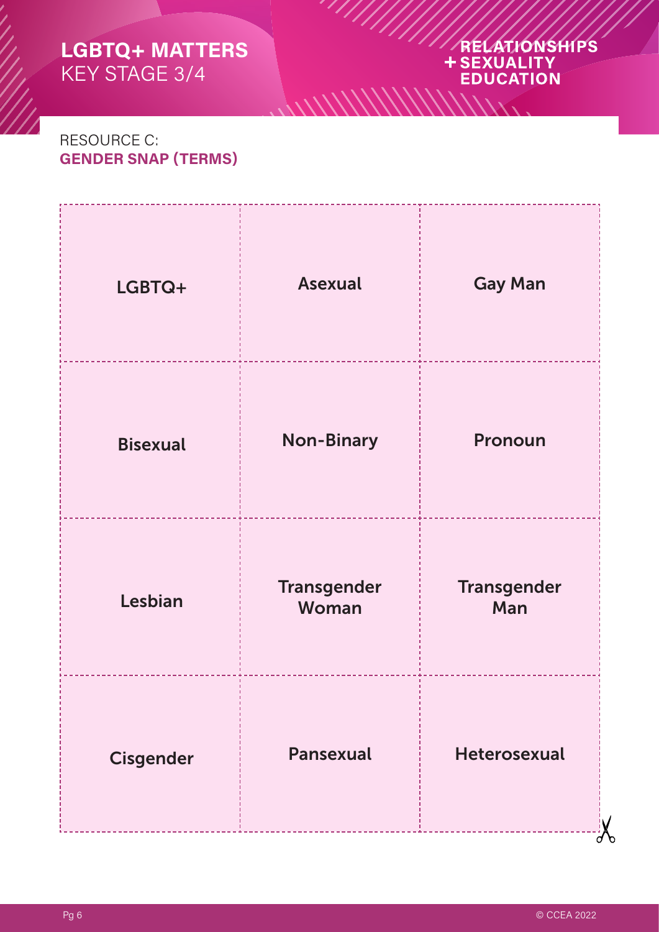# ARELATIONSHIPS

### RESOURCE C: **GENDER SNAP (TERMS)**

| LGBTQ+           | <b>Asexual</b>              | <b>Gay Man</b>            |
|------------------|-----------------------------|---------------------------|
| <b>Bisexual</b>  | <b>Non-Binary</b>           | Pronoun                   |
| Lesbian          | <b>Transgender</b><br>Woman | <b>Transgender</b><br>Man |
| <b>Cisgender</b> | <b>Pansexual</b>            | <b>Heterosexual</b>       |

 $\frac{1}{2}$